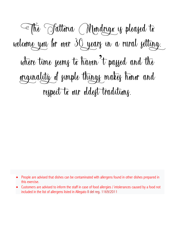The Fattoria Mondrigo is pleased to welcome you for over 30 years in a rural setting, where time seems to haven to passed and the originality of simple things makes honor and respect to our oldest traditions.

- People are advised that dishes can be contaminated with allergens found in other dishes prepared in this exercise.
- Customers are advised to inform the staff in case of food allergies / intolerances caused by a food not included in the list of allergens listed in Allegato II del reg. 1169/2011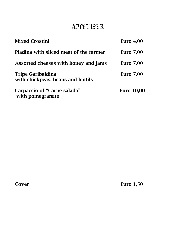# APPETIZER

| <b>Mixed Crostini</b>                                         | Euro $4,00$       |
|---------------------------------------------------------------|-------------------|
| Piadina with sliced meat of the farmer                        | <b>Euro 7,00</b>  |
| Assorted cheeses with honey and jams                          | <b>Euro 7,00</b>  |
| <b>Tripe Garibaldina</b><br>with chickpeas, beans and lentils | <b>Euro 7,00</b>  |
| Carpaccio of "Carne salada"<br>with pomegranate               | <b>Euro</b> 10,00 |

Cover Euro 1,50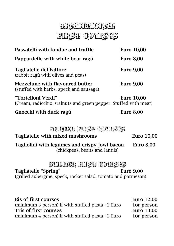# THRADITHIONALI FIRST COURSES

| Passatelli with fondue and truffle                                                    | <b>Euro</b> 10,00 |
|---------------------------------------------------------------------------------------|-------------------|
| Pappardelle with white boar ragù                                                      | <b>Euro 8,00</b>  |
| <b>Tagliatelle del Fattore</b><br>(rabbit ragù with olives and peas)                  | <b>Euro 9,00</b>  |
| Mezzelune with flavoured butter<br>(stuffed with herbs, speck and sausage)            | <b>Euro 9,00</b>  |
| "Tortelloni Verdi"<br>(Cream, radicchio, walnuts and green pepper. Stuffed with meat) | <b>Euro</b> 10,00 |
| Gnocchi with duck ragù                                                                | <b>Euro 8,00</b>  |

### WINTER FIRST GOURSES

### Tagliatelle with mixed mushrooms Euro 10,00

Tagliolini with legumes and crispy jowl bacon Euro 8,00 (chickpeas, beans and lentils)

### SUMMER FIRST COURSES

Tagliatelle "Spring" Euro 9,00

(grilled aubergine, speck, rocket salad, tomato and parmesan)

Bis of first courses Euro 12,00 (minimum 3 person) if with stuffed pasta  $+2$  Euro for person Tris of first courses Tris by Euro 13,00 (minimum 4 person) if with stuffed pasta  $+2$  Euro for person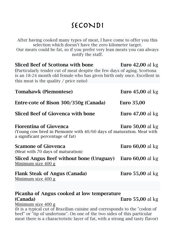# SECONDI

After having cooked many types of meat, I have come to offer you this selection which doesn't have the zero kilometer target. Our meats could be fat, so if you prefer very lean meats you can always notify the staff. Sliced Beef of Scottona with bone Euro 42,00 al kg (Particularly tender cut of meat despite the few days of aging. Scottona is an 18-24 month old female who has given birth only once. Excellent in this meat is the quality / price ratio) Tomahawk (Piemontese) Euro 45,00 al kg Entre-cote of Bison 300/350g (Canada) Euro 35,00 Sliced Beef of Giovenca with bone Euro 47,00 al kg Fiorentina of Giovenca Euro 50,00 al kg (Young cow bred in Piemonte with 40/60 days of maturation. Meat with a significant percentage of fat) Scamone of Giovenca **Euro 60,00** al kg (Meat with 70 days of maturation) Sliced Angus Beef without bone (Uruguay) Euro 60,00 al kg Minimum size 400 g Flank Steak of Angus (Canada) Euro 55,00 al kg Minimum size 400 g

## Picanha of Angus cooked at low temperature (Canada) Euro 55,00 al kg

Minimum size 400 g

(It is a typical cut of Brazilian cuisine and corresponds to the "codon of beef" or "tip of undertone". On one of the two sides of this particular meat there is a characteristic layer of fat, with a strong and tasty flavor)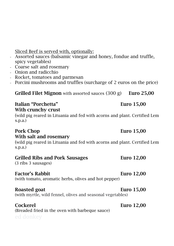Sliced Beef is served with, optionally:

- *-* Assorted sauces (balsamic vinegar and honey, fondue and truffle, spicy vegetables)
- *-* Coarse salt and rosemary
- *-* Onion and radicchio
- *-* Rocket, tomatoes and parmesan
- *-* Porcini mushrooms and truffles (surcharge of 2 euros on the price)

**Grilled Filet Mignon** with assorted sauces  $(300 \text{ g})$  **Euro 25,00** 

### Italian "Porchetta" Euro 15,00 With crunchy crust

(wild pig reared in Lituania and fed with acorns and plant. Certified Lem s.p.a.)

### Pork Chop Euro 15,00 With salt and rosemary

(wild pig reared in Lituania and fed with acorns and plant. Certified Lem s.p.a.)

### Grilled Ribs and Pork Sausages Euro 12.00

(3 ribs 3 sausages)

### Factor's Rabbit **Euro** 12,00

(with tomato, aromatic herbs, olives and hot pepper)

### Roasted goat **Euro** 15,00

(with myrtle, wild fennel, olives and seasonal vegetables)

### Cockerel Euro 12,00

(Breaded fried in the oven with barbeque sauce)

## ed donkey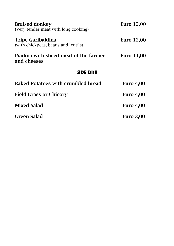| <b>Braised donkey</b><br>(Very tender meat with long cooking) | <b>Euro</b> 12,00 |
|---------------------------------------------------------------|-------------------|
| Tripe Garibaldina<br>(with chickpeas, beans and lentils)      | <b>Euro</b> 12,00 |
| Piadina with sliced meat of the farmer<br>and cheeses         | <b>Euro</b> 11,00 |
| <b>SIDE DISH</b>                                              |                   |
| <b>Baked Potatoes with crumbled bread</b>                     | Euro $4,00$       |
| <b>Field Grass or Chicory</b>                                 | <b>Euro</b> 4,00  |
| <b>Mixed Salad</b>                                            | Euro $4,00$       |
| Green Salad                                                   | <b>Euro</b> 3,00  |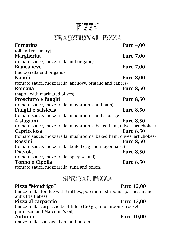# PIZZA

## TRADITIONAL PIZZA

| Fornarina                                                            | <b>Euro</b> 4,00 |
|----------------------------------------------------------------------|------------------|
| (oil and rosemary)                                                   |                  |
| <b>Margherita</b>                                                    | <b>Euro 7,00</b> |
| (tomato sauce, mozzarella and origano)                               |                  |
| <b>Biancaneve</b>                                                    | <b>Euro</b> 7,00 |
| (mozzarella and origano)                                             |                  |
| <b>Napoli</b>                                                        | <b>Euro 8,00</b> |
| (tomato sauce, mozzarella, anchovy, origano and capers)              |                  |
| Romana                                                               | <b>Euro 8,50</b> |
| (napoli with marinated olives)                                       |                  |
| Prosciutto e funghi                                                  | <b>Euro 8,50</b> |
| (tomato sauce, mozzarella, mushrooms and ham)                        |                  |
| Funghi e salsiccia                                                   | <b>Euro 8,50</b> |
| (tomato sauce, mozzarella, mushrooms and sausage)                    |                  |
| 4 stagioni                                                           | <b>Euro 8,50</b> |
| (tomato sauce, mozzarella, mushrooms, baked ham, olives, artichokes) |                  |
| <b>Capricciosa</b>                                                   | <b>Euro 8,50</b> |
| (tomato sauce, mozzarella, mushrooms, baked ham, olives, artichokes) |                  |
| Rossini                                                              | <b>Euro 8,50</b> |
| (tomato sauce, mozzarella, boiled egg and mayonnaise)                |                  |
| <b>Diavola</b>                                                       | <b>Euro</b> 8,50 |
| (tomato sauce, mozzarella, spicy salami)                             |                  |
| Tonno e Cipolla                                                      | <b>Euro 8,50</b> |
| (tomato sauce, mozzarella, tuna and onion)                           |                  |

## SPECIAL PIZZA

### Pizza "Mondrigo" euro 12,00

(mozzarella, fondue with truffles, porcini mushrooms, parmesan and antruffle flakes)

### Pizza al carpaccio Euro 13,00

(mozzarella, carpaccio beef fillet (150 gr.), mushrooms, rocket, parmesan and Marcolini's oil)

### Autunno Euro 10,00

(mozzarella, sausage, ham and porcini)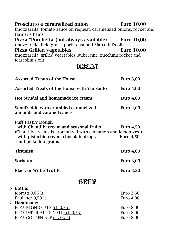| Prosciutto e caramelized onion<br>(mozzarella, tomato sauce on request, caramelized onions, rocket and<br>farmer's ham)<br>Pizza "Porchetta"(not always available)<br>(mozzarella, field grass, pork roast and Marcolini's oil) | <b>Euro</b> 10,00<br><b>Euro</b> 10,00 |  |
|---------------------------------------------------------------------------------------------------------------------------------------------------------------------------------------------------------------------------------|----------------------------------------|--|
| <b>Pizza Grilled vegetables</b><br>(mozzarella, grilled vegetables (aubergine, zucchini) rocket and<br>Marcolini's oil)                                                                                                         | <b>Euro</b> 10,00                      |  |
| DESSERT                                                                                                                                                                                                                         |                                        |  |
| <b>Assorted Treats of the House</b>                                                                                                                                                                                             | <b>Euro</b> 3,00                       |  |
| <b>Assorted Treats of the House with Vin Santo</b>                                                                                                                                                                              | Euro $4,00$                            |  |
| Hot Strudel and homemade ice cream                                                                                                                                                                                              | Euro $4,00$                            |  |
| Semifreddo with crumbled caramelized<br>almonds and caramel sauce                                                                                                                                                               | Euro $4,00$                            |  |
| <b>Puff Pastry Dough</b><br>- with Chantilly cream and seasonal fruits<br>(Chantilly creams is aromatized with cinnamon and lemon zest)<br>- with pistachio cream, chocolate drops<br>and pistachio grains                      | Euro $4,50$<br><b>Euro</b> 4,50        |  |
| <b>Tiramisù</b>                                                                                                                                                                                                                 | Euro $4,00$                            |  |
| Sorbetto                                                                                                                                                                                                                        | <b>Euro</b> 3,00                       |  |
| <b>Black or Withe Truffle</b>                                                                                                                                                                                                   | <b>Euro</b> 3,50                       |  |
| <b>BEER</b>                                                                                                                                                                                                                     |                                        |  |
| <b>Bottle:</b><br>Moretti 0,66 lt.<br>Paulaner 0,50 lt.<br>Handmade:                                                                                                                                                            | Euro $3,50$<br>Euro $4,00$             |  |
| <u>FLEA BLONDE ALE (cl. 0,75)</u>                                                                                                                                                                                               | Euro $8,00$                            |  |
| FLEA IMPERIAL RED ALE (cl. 0,75)<br><u>FLEA GOLDEN ALE (cl. 0,75)</u>                                                                                                                                                           | Euro $8,00$<br>Euro 8,00               |  |

 $\blacktriangleright$ 

 $\blacktriangleright$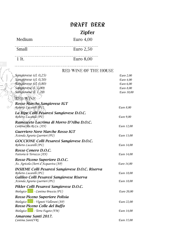## DRAFT BEER Zipfer

Medium Euro 4,00

Small Euro 2,50

# $\begin{tabular}{c} \hline 1 & It. \end{tabular} \begin{tabular}{l} \hline \end{tabular} \begin{tabular}{l} \hline \end{tabular} \begin{tabular}{l} \hline \end{tabular} \begin{tabular}{l} \hline \end{tabular} \end{tabular} \begin{tabular}{l} \hline \end{tabular} \begin{tabular}{l} \hline \end{tabular} \end{tabular} \begin{tabular}{l} \hline \end{tabular} \begin{tabular}{l} \hline \end{tabular} \end{tabular} \begin{tabular}{l} \hline \end{tabular} \begin{tabular}{l} \hline \end{tabular} \end{tabular} \begin{tab$

### RED WINE OF THE HOUSE

| Euro 2,00  |
|------------|
| Euro 4,00  |
| Euro 6,00  |
| Euro 8,00  |
| Euro 10,00 |
|            |
|            |
| Euro 8,00  |
|            |
| Euro 9,00  |
|            |
| Euro 12,00 |
|            |
| Euro 13,00 |
|            |
| Euro 14,00 |
|            |
| Euro 14,00 |
|            |
| Euro 14,00 |
|            |
| Euro 18,00 |
|            |
| Euro 18,00 |
|            |
| Euro 20,00 |
|            |
| Euro 22,00 |
|            |
| Euro 14,00 |
|            |
| Euro 35,00 |
|            |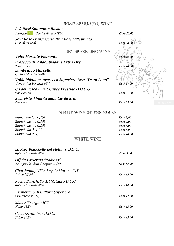### ROSE' SPARKLING WINE

### *Brù Rosé Spumante Rosato*

*Biologico - Cantina Bruscia (PU) Euro 13,00*



### WHITE WINE OF THE HOUSE

| Bianchello (cl. 0,25) | Euro 2.00  |
|-----------------------|------------|
| Bianchello (cl. 0,50) | Euro 4.00  |
| Bianchello (cl. 0,80) | Euro 6.00  |
| Bianchello (l. 1,00)  | Euro 8.00  |
| Bianchello (l. 1,20)  | Euro 10.00 |
|                       |            |

### WHITE WINE

| La Ripe Bianchello del Metauro D.O.C.<br>Roberto Lucarelli (PU)    | Euro 9,00         |
|--------------------------------------------------------------------|-------------------|
| Offida Passerina "Radiosa"<br>Az. Agricola Cherri d'Acquaviva (AP) | Euro 12,00        |
| Chardonnay Villa Angela Marche IGT<br>Velenosi (AN)                | Euro 13,00        |
| Rocho Bianchello del Metauro D.O.C.<br>Roberto Lucarelli (PU)      | Euro 14,00        |
| Vermentino di Gallura Superiore<br>Piero Mancini (OT)              | Euro 14,00        |
| Muller Thurgau IGT<br>H.Lun(BZ)                                    | Euro 12.00        |
| Gewurztraminer D.O.C.<br>H.Lun(BZ)                                 | <i>Euro</i> 15,00 |